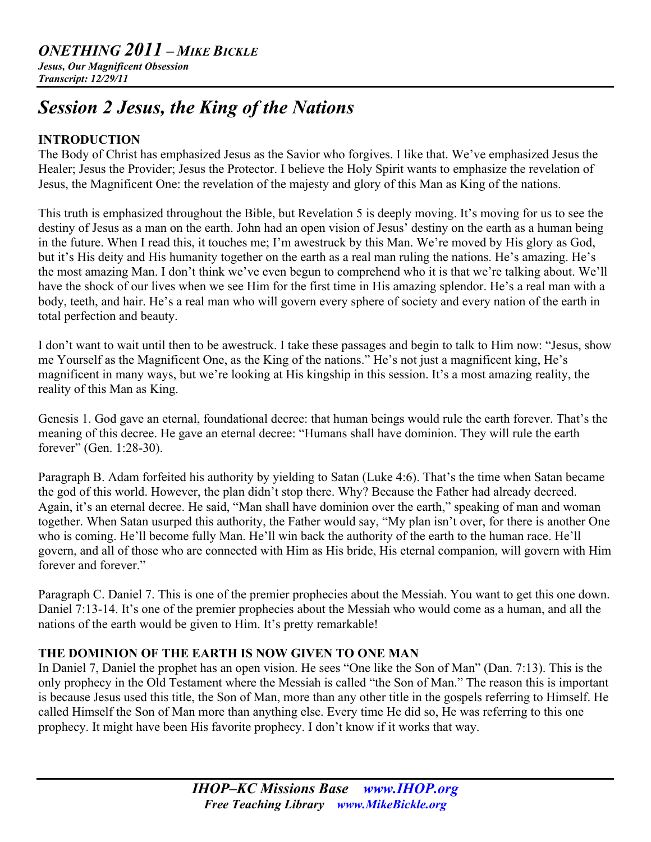## *ONETHING 2011 – MIKE BICKLE*

*Jesus, Our Magnificent Obsession Transcript: 12/29/11*

# *Session 2 Jesus, the King of the Nations*

## **INTRODUCTION**

The Body of Christ has emphasized Jesus as the Savior who forgives. I like that. We've emphasized Jesus the Healer; Jesus the Provider; Jesus the Protector. I believe the Holy Spirit wants to emphasize the revelation of Jesus, the Magnificent One: the revelation of the majesty and glory of this Man as King of the nations.

This truth is emphasized throughout the Bible, but Revelation 5 is deeply moving. It's moving for us to see the destiny of Jesus as a man on the earth. John had an open vision of Jesus' destiny on the earth as a human being in the future. When I read this, it touches me; I'm awestruck by this Man. We're moved by His glory as God, but it's His deity and His humanity together on the earth as a real man ruling the nations. He's amazing. He's the most amazing Man. I don't think we've even begun to comprehend who it is that we're talking about. We'll have the shock of our lives when we see Him for the first time in His amazing splendor. He's a real man with a body, teeth, and hair. He's a real man who will govern every sphere of society and every nation of the earth in total perfection and beauty.

I don't want to wait until then to be awestruck. I take these passages and begin to talk to Him now: "Jesus, show me Yourself as the Magnificent One, as the King of the nations." He's not just a magnificent king, He's magnificent in many ways, but we're looking at His kingship in this session. It's a most amazing reality, the reality of this Man as King.

Genesis 1. God gave an eternal, foundational decree: that human beings would rule the earth forever. That's the meaning of this decree. He gave an eternal decree: "Humans shall have dominion. They will rule the earth forever" (Gen. 1:28-30).

Paragraph B. Adam forfeited his authority by yielding to Satan (Luke 4:6). That's the time when Satan became the god of this world. However, the plan didn't stop there. Why? Because the Father had already decreed. Again, it's an eternal decree. He said, "Man shall have dominion over the earth," speaking of man and woman together. When Satan usurped this authority, the Father would say, "My plan isn't over, for there is another One who is coming. He'll become fully Man. He'll win back the authority of the earth to the human race. He'll govern, and all of those who are connected with Him as His bride, His eternal companion, will govern with Him forever and forever."

Paragraph C. Daniel 7. This is one of the premier prophecies about the Messiah. You want to get this one down. Daniel 7:13-14. It's one of the premier prophecies about the Messiah who would come as a human, and all the nations of the earth would be given to Him. It's pretty remarkable!

## **THE DOMINION OF THE EARTH IS NOW GIVEN TO ONE MAN**

In Daniel 7, Daniel the prophet has an open vision. He sees "One like the Son of Man" (Dan. 7:13). This is the only prophecy in the Old Testament where the Messiah is called "the Son of Man." The reason this is important is because Jesus used this title, the Son of Man, more than any other title in the gospels referring to Himself. He called Himself the Son of Man more than anything else. Every time He did so, He was referring to this one prophecy. It might have been His favorite prophecy. I don't know if it works that way.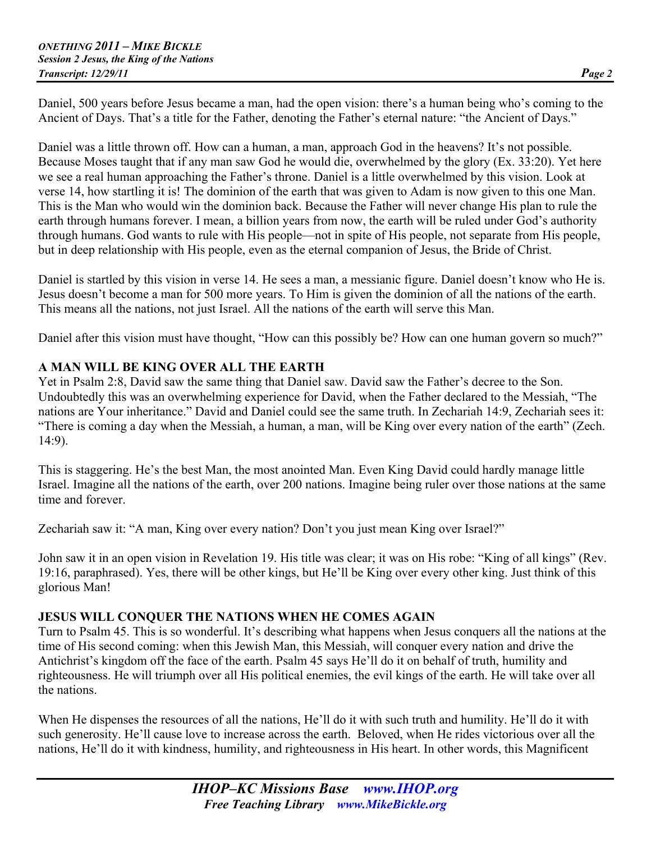Daniel, 500 years before Jesus became a man, had the open vision: there's a human being who's coming to the Ancient of Days. That's a title for the Father, denoting the Father's eternal nature: "the Ancient of Days."

Daniel was a little thrown off. How can a human, a man, approach God in the heavens? It's not possible. Because Moses taught that if any man saw God he would die, overwhelmed by the glory (Ex. 33:20). Yet here we see a real human approaching the Father's throne. Daniel is a little overwhelmed by this vision. Look at verse 14, how startling it is! The dominion of the earth that was given to Adam is now given to this one Man. This is the Man who would win the dominion back. Because the Father will never change His plan to rule the earth through humans forever. I mean, a billion years from now, the earth will be ruled under God's authority through humans. God wants to rule with His people—not in spite of His people, not separate from His people, but in deep relationship with His people, even as the eternal companion of Jesus, the Bride of Christ.

Daniel is startled by this vision in verse 14. He sees a man, a messianic figure. Daniel doesn't know who He is. Jesus doesn't become a man for 500 more years. To Him is given the dominion of all the nations of the earth. This means all the nations, not just Israel. All the nations of the earth will serve this Man.

Daniel after this vision must have thought, "How can this possibly be? How can one human govern so much?"

## **A MAN WILL BE KING OVER ALL THE EARTH**

Yet in Psalm 2:8, David saw the same thing that Daniel saw. David saw the Father's decree to the Son. Undoubtedly this was an overwhelming experience for David, when the Father declared to the Messiah, "The nations are Your inheritance." David and Daniel could see the same truth. In Zechariah 14:9, Zechariah sees it: "There is coming a day when the Messiah, a human, a man, will be King over every nation of the earth" (Zech. 14:9).

This is staggering. He's the best Man, the most anointed Man. Even King David could hardly manage little Israel. Imagine all the nations of the earth, over 200 nations. Imagine being ruler over those nations at the same time and forever.

Zechariah saw it: "A man, King over every nation? Don't you just mean King over Israel?"

John saw it in an open vision in Revelation 19. His title was clear; it was on His robe: "King of all kings" (Rev. 19:16, paraphrased). Yes, there will be other kings, but He'll be King over every other king. Just think of this glorious Man!

## **JESUS WILL CONQUER THE NATIONS WHEN HE COMES AGAIN**

Turn to Psalm 45. This is so wonderful. It's describing what happens when Jesus conquers all the nations at the time of His second coming: when this Jewish Man, this Messiah, will conquer every nation and drive the Antichrist's kingdom off the face of the earth. Psalm 45 says He'll do it on behalf of truth, humility and righteousness. He will triumph over all His political enemies, the evil kings of the earth. He will take over all the nations.

When He dispenses the resources of all the nations, He'll do it with such truth and humility. He'll do it with such generosity. He'll cause love to increase across the earth. Beloved, when He rides victorious over all the nations, He'll do it with kindness, humility, and righteousness in His heart. In other words, this Magnificent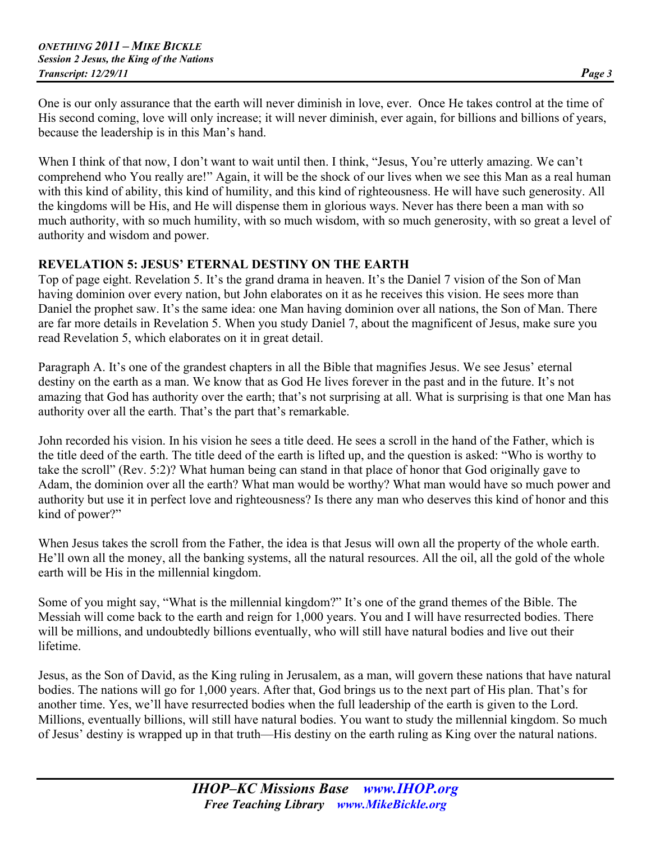One is our only assurance that the earth will never diminish in love, ever. Once He takes control at the time of His second coming, love will only increase; it will never diminish, ever again, for billions and billions of years, because the leadership is in this Man's hand.

When I think of that now, I don't want to wait until then. I think, "Jesus, You're utterly amazing. We can't comprehend who You really are!" Again, it will be the shock of our lives when we see this Man as a real human with this kind of ability, this kind of humility, and this kind of righteousness. He will have such generosity. All the kingdoms will be His, and He will dispense them in glorious ways. Never has there been a man with so much authority, with so much humility, with so much wisdom, with so much generosity, with so great a level of authority and wisdom and power.

## **REVELATION 5: JESUS' ETERNAL DESTINY ON THE EARTH**

Top of page eight. Revelation 5. It's the grand drama in heaven. It's the Daniel 7 vision of the Son of Man having dominion over every nation, but John elaborates on it as he receives this vision. He sees more than Daniel the prophet saw. It's the same idea: one Man having dominion over all nations, the Son of Man. There are far more details in Revelation 5. When you study Daniel 7, about the magnificent of Jesus, make sure you read Revelation 5, which elaborates on it in great detail.

Paragraph A. It's one of the grandest chapters in all the Bible that magnifies Jesus. We see Jesus' eternal destiny on the earth as a man. We know that as God He lives forever in the past and in the future. It's not amazing that God has authority over the earth; that's not surprising at all. What is surprising is that one Man has authority over all the earth. That's the part that's remarkable.

John recorded his vision. In his vision he sees a title deed. He sees a scroll in the hand of the Father, which is the title deed of the earth. The title deed of the earth is lifted up, and the question is asked: "Who is worthy to take the scroll" (Rev. 5:2)? What human being can stand in that place of honor that God originally gave to Adam, the dominion over all the earth? What man would be worthy? What man would have so much power and authority but use it in perfect love and righteousness? Is there any man who deserves this kind of honor and this kind of power?"

When Jesus takes the scroll from the Father, the idea is that Jesus will own all the property of the whole earth. He'll own all the money, all the banking systems, all the natural resources. All the oil, all the gold of the whole earth will be His in the millennial kingdom.

Some of you might say, "What is the millennial kingdom?" It's one of the grand themes of the Bible. The Messiah will come back to the earth and reign for 1,000 years. You and I will have resurrected bodies. There will be millions, and undoubtedly billions eventually, who will still have natural bodies and live out their lifetime.

Jesus, as the Son of David, as the King ruling in Jerusalem, as a man, will govern these nations that have natural bodies. The nations will go for 1,000 years. After that, God brings us to the next part of His plan. That's for another time. Yes, we'll have resurrected bodies when the full leadership of the earth is given to the Lord. Millions, eventually billions, will still have natural bodies. You want to study the millennial kingdom. So much of Jesus' destiny is wrapped up in that truth—His destiny on the earth ruling as King over the natural nations.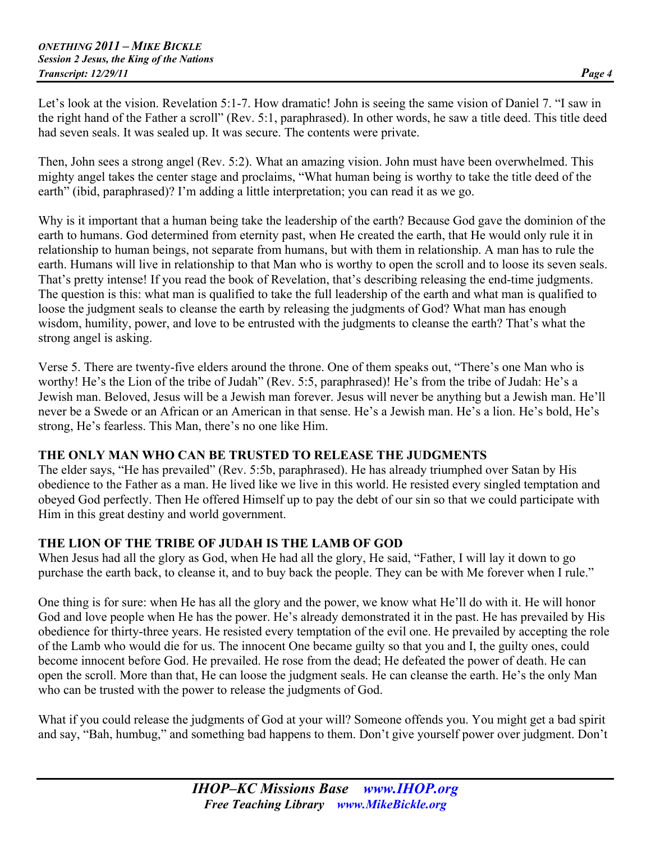Let's look at the vision. Revelation 5:1-7. How dramatic! John is seeing the same vision of Daniel 7. "I saw in the right hand of the Father a scroll" (Rev. 5:1, paraphrased). In other words, he saw a title deed. This title deed had seven seals. It was sealed up. It was secure. The contents were private.

Then, John sees a strong angel (Rev. 5:2). What an amazing vision. John must have been overwhelmed. This mighty angel takes the center stage and proclaims, "What human being is worthy to take the title deed of the earth" (ibid, paraphrased)? I'm adding a little interpretation; you can read it as we go.

Why is it important that a human being take the leadership of the earth? Because God gave the dominion of the earth to humans. God determined from eternity past, when He created the earth, that He would only rule it in relationship to human beings, not separate from humans, but with them in relationship. A man has to rule the earth. Humans will live in relationship to that Man who is worthy to open the scroll and to loose its seven seals. That's pretty intense! If you read the book of Revelation, that's describing releasing the end-time judgments. The question is this: what man is qualified to take the full leadership of the earth and what man is qualified to loose the judgment seals to cleanse the earth by releasing the judgments of God? What man has enough wisdom, humility, power, and love to be entrusted with the judgments to cleanse the earth? That's what the strong angel is asking.

Verse 5. There are twenty-five elders around the throne. One of them speaks out, "There's one Man who is worthy! He's the Lion of the tribe of Judah" (Rev. 5:5, paraphrased)! He's from the tribe of Judah: He's a Jewish man. Beloved, Jesus will be a Jewish man forever. Jesus will never be anything but a Jewish man. He'll never be a Swede or an African or an American in that sense. He's a Jewish man. He's a lion. He's bold, He's strong, He's fearless. This Man, there's no one like Him.

## **THE ONLY MAN WHO CAN BE TRUSTED TO RELEASE THE JUDGMENTS**

The elder says, "He has prevailed" (Rev. 5:5b, paraphrased). He has already triumphed over Satan by His obedience to the Father as a man. He lived like we live in this world. He resisted every singled temptation and obeyed God perfectly. Then He offered Himself up to pay the debt of our sin so that we could participate with Him in this great destiny and world government.

## **THE LION OF THE TRIBE OF JUDAH IS THE LAMB OF GOD**

When Jesus had all the glory as God, when He had all the glory, He said, "Father, I will lay it down to go purchase the earth back, to cleanse it, and to buy back the people. They can be with Me forever when I rule."

One thing is for sure: when He has all the glory and the power, we know what He'll do with it. He will honor God and love people when He has the power. He's already demonstrated it in the past. He has prevailed by His obedience for thirty-three years. He resisted every temptation of the evil one. He prevailed by accepting the role of the Lamb who would die for us. The innocent One became guilty so that you and I, the guilty ones, could become innocent before God. He prevailed. He rose from the dead; He defeated the power of death. He can open the scroll. More than that, He can loose the judgment seals. He can cleanse the earth. He's the only Man who can be trusted with the power to release the judgments of God.

What if you could release the judgments of God at your will? Someone offends you. You might get a bad spirit and say, "Bah, humbug," and something bad happens to them. Don't give yourself power over judgment. Don't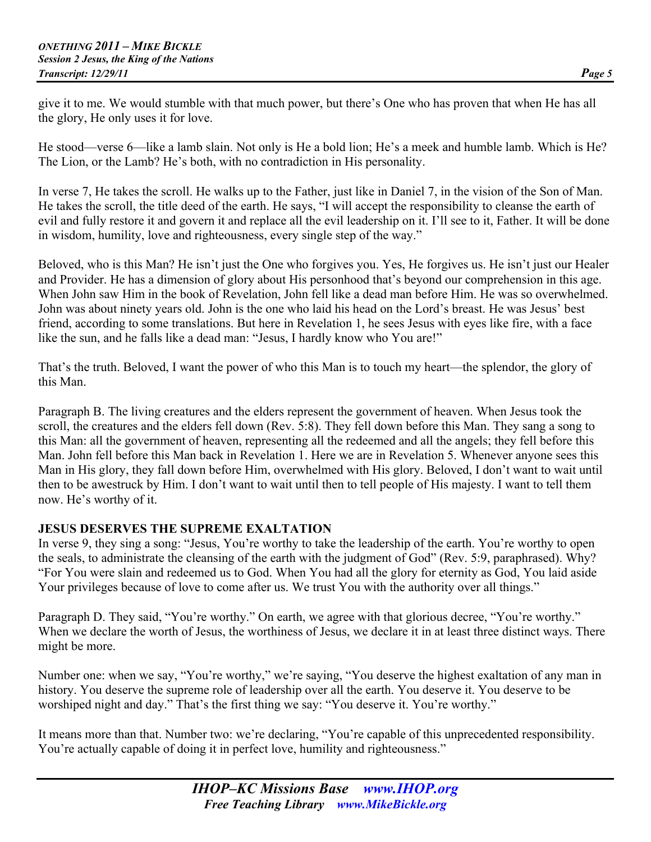give it to me. We would stumble with that much power, but there's One who has proven that when He has all the glory, He only uses it for love.

He stood—verse 6—like a lamb slain. Not only is He a bold lion; He's a meek and humble lamb. Which is He? The Lion, or the Lamb? He's both, with no contradiction in His personality.

In verse 7, He takes the scroll. He walks up to the Father, just like in Daniel 7, in the vision of the Son of Man. He takes the scroll, the title deed of the earth. He says, "I will accept the responsibility to cleanse the earth of evil and fully restore it and govern it and replace all the evil leadership on it. I'll see to it, Father. It will be done in wisdom, humility, love and righteousness, every single step of the way."

Beloved, who is this Man? He isn't just the One who forgives you. Yes, He forgives us. He isn't just our Healer and Provider. He has a dimension of glory about His personhood that's beyond our comprehension in this age. When John saw Him in the book of Revelation, John fell like a dead man before Him. He was so overwhelmed. John was about ninety years old. John is the one who laid his head on the Lord's breast. He was Jesus' best friend, according to some translations. But here in Revelation 1, he sees Jesus with eyes like fire, with a face like the sun, and he falls like a dead man: "Jesus, I hardly know who You are!"

That's the truth. Beloved, I want the power of who this Man is to touch my heart—the splendor, the glory of this Man.

Paragraph B. The living creatures and the elders represent the government of heaven. When Jesus took the scroll, the creatures and the elders fell down (Rev. 5:8). They fell down before this Man. They sang a song to this Man: all the government of heaven, representing all the redeemed and all the angels; they fell before this Man. John fell before this Man back in Revelation 1. Here we are in Revelation 5. Whenever anyone sees this Man in His glory, they fall down before Him, overwhelmed with His glory. Beloved, I don't want to wait until then to be awestruck by Him. I don't want to wait until then to tell people of His majesty. I want to tell them now. He's worthy of it.

## **JESUS DESERVES THE SUPREME EXALTATION**

In verse 9, they sing a song: "Jesus, You're worthy to take the leadership of the earth. You're worthy to open the seals, to administrate the cleansing of the earth with the judgment of God" (Rev. 5:9, paraphrased). Why? "For You were slain and redeemed us to God. When You had all the glory for eternity as God, You laid aside Your privileges because of love to come after us. We trust You with the authority over all things."

Paragraph D. They said, "You're worthy." On earth, we agree with that glorious decree, "You're worthy." When we declare the worth of Jesus, the worthiness of Jesus, we declare it in at least three distinct ways. There might be more.

Number one: when we say, "You're worthy," we're saying, "You deserve the highest exaltation of any man in history. You deserve the supreme role of leadership over all the earth. You deserve it. You deserve to be worshiped night and day." That's the first thing we say: "You deserve it. You're worthy."

It means more than that. Number two: we're declaring, "You're capable of this unprecedented responsibility. You're actually capable of doing it in perfect love, humility and righteousness."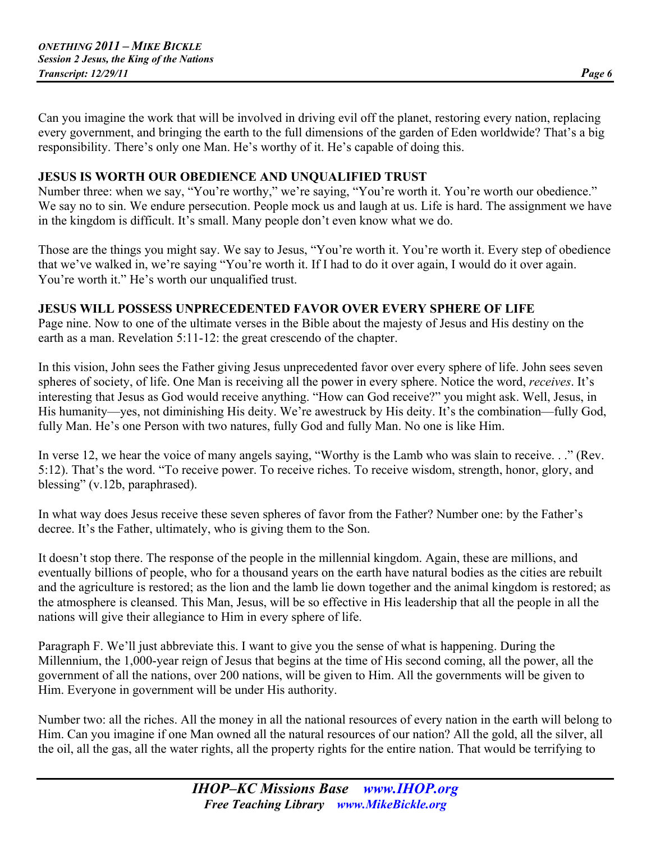Can you imagine the work that will be involved in driving evil off the planet, restoring every nation, replacing every government, and bringing the earth to the full dimensions of the garden of Eden worldwide? That's a big responsibility. There's only one Man. He's worthy of it. He's capable of doing this.

#### **JESUS IS WORTH OUR OBEDIENCE AND UNQUALIFIED TRUST**

Number three: when we say, "You're worthy," we're saying, "You're worth it. You're worth our obedience." We say no to sin. We endure persecution. People mock us and laugh at us. Life is hard. The assignment we have in the kingdom is difficult. It's small. Many people don't even know what we do.

Those are the things you might say. We say to Jesus, "You're worth it. You're worth it. Every step of obedience that we've walked in, we're saying "You're worth it. If I had to do it over again, I would do it over again. You're worth it." He's worth our unqualified trust.

#### **JESUS WILL POSSESS UNPRECEDENTED FAVOR OVER EVERY SPHERE OF LIFE**

Page nine. Now to one of the ultimate verses in the Bible about the majesty of Jesus and His destiny on the earth as a man. Revelation 5:11-12: the great crescendo of the chapter.

In this vision, John sees the Father giving Jesus unprecedented favor over every sphere of life. John sees seven spheres of society, of life. One Man is receiving all the power in every sphere. Notice the word, *receives*. It's interesting that Jesus as God would receive anything. "How can God receive?" you might ask. Well, Jesus, in His humanity—yes, not diminishing His deity. We're awestruck by His deity. It's the combination—fully God, fully Man. He's one Person with two natures, fully God and fully Man. No one is like Him.

In verse 12, we hear the voice of many angels saying, "Worthy is the Lamb who was slain to receive. . ." (Rev. 5:12). That's the word. "To receive power. To receive riches. To receive wisdom, strength, honor, glory, and blessing" (v.12b, paraphrased).

In what way does Jesus receive these seven spheres of favor from the Father? Number one: by the Father's decree. It's the Father, ultimately, who is giving them to the Son.

It doesn't stop there. The response of the people in the millennial kingdom. Again, these are millions, and eventually billions of people, who for a thousand years on the earth have natural bodies as the cities are rebuilt and the agriculture is restored; as the lion and the lamb lie down together and the animal kingdom is restored; as the atmosphere is cleansed. This Man, Jesus, will be so effective in His leadership that all the people in all the nations will give their allegiance to Him in every sphere of life.

Paragraph F. We'll just abbreviate this. I want to give you the sense of what is happening. During the Millennium, the 1,000-year reign of Jesus that begins at the time of His second coming, all the power, all the government of all the nations, over 200 nations, will be given to Him. All the governments will be given to Him. Everyone in government will be under His authority.

Number two: all the riches. All the money in all the national resources of every nation in the earth will belong to Him. Can you imagine if one Man owned all the natural resources of our nation? All the gold, all the silver, all the oil, all the gas, all the water rights, all the property rights for the entire nation. That would be terrifying to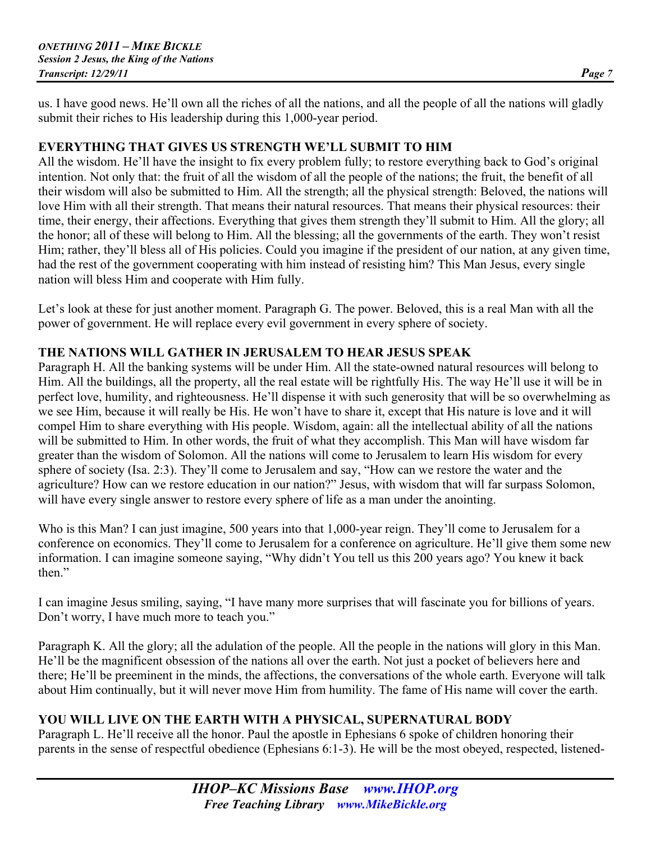us. I have good news. He'll own all the riches of all the nations, and all the people of all the nations will gladly submit their riches to His leadership during this 1,000-year period.

## **EVERYTHING THAT GIVES US STRENGTH WE'LL SUBMIT TO HIM**

All the wisdom. He'll have the insight to fix every problem fully; to restore everything back to God's original intention. Not only that: the fruit of all the wisdom of all the people of the nations; the fruit, the benefit of all their wisdom will also be submitted to Him. All the strength; all the physical strength: Beloved, the nations will love Him with all their strength. That means their natural resources. That means their physical resources: their time, their energy, their affections. Everything that gives them strength they'll submit to Him. All the glory; all the honor; all of these will belong to Him. All the blessing; all the governments of the earth. They won't resist Him; rather, they'll bless all of His policies. Could you imagine if the president of our nation, at any given time, had the rest of the government cooperating with him instead of resisting him? This Man Jesus, every single nation will bless Him and cooperate with Him fully.

Let's look at these for just another moment. Paragraph G. The power. Beloved, this is a real Man with all the power of government. He will replace every evil government in every sphere of society.

## **THE NATIONS WILL GATHER IN JERUSALEM TO HEAR JESUS SPEAK**

Paragraph H. All the banking systems will be under Him. All the state-owned natural resources will belong to Him. All the buildings, all the property, all the real estate will be rightfully His. The way He'll use it will be in perfect love, humility, and righteousness. He'll dispense it with such generosity that will be so overwhelming as we see Him, because it will really be His. He won't have to share it, except that His nature is love and it will compel Him to share everything with His people. Wisdom, again: all the intellectual ability of all the nations will be submitted to Him. In other words, the fruit of what they accomplish. This Man will have wisdom far greater than the wisdom of Solomon. All the nations will come to Jerusalem to learn His wisdom for every sphere of society (Isa. 2:3). They'll come to Jerusalem and say, "How can we restore the water and the agriculture? How can we restore education in our nation?" Jesus, with wisdom that will far surpass Solomon, will have every single answer to restore every sphere of life as a man under the anointing.

Who is this Man? I can just imagine, 500 years into that 1,000-year reign. They'll come to Jerusalem for a conference on economics. They'll come to Jerusalem for a conference on agriculture. He'll give them some new information. I can imagine someone saying, "Why didn't You tell us this 200 years ago? You knew it back then."

I can imagine Jesus smiling, saying, "I have many more surprises that will fascinate you for billions of years. Don't worry, I have much more to teach you."

Paragraph K. All the glory; all the adulation of the people. All the people in the nations will glory in this Man. He'll be the magnificent obsession of the nations all over the earth. Not just a pocket of believers here and there; He'll be preeminent in the minds, the affections, the conversations of the whole earth. Everyone will talk about Him continually, but it will never move Him from humility. The fame of His name will cover the earth.

## **YOU WILL LIVE ON THE EARTH WITH A PHYSICAL, SUPERNATURAL BODY**

Paragraph L. He'll receive all the honor. Paul the apostle in Ephesians 6 spoke of children honoring their parents in the sense of respectful obedience (Ephesians 6:1-3). He will be the most obeyed, respected, listened-